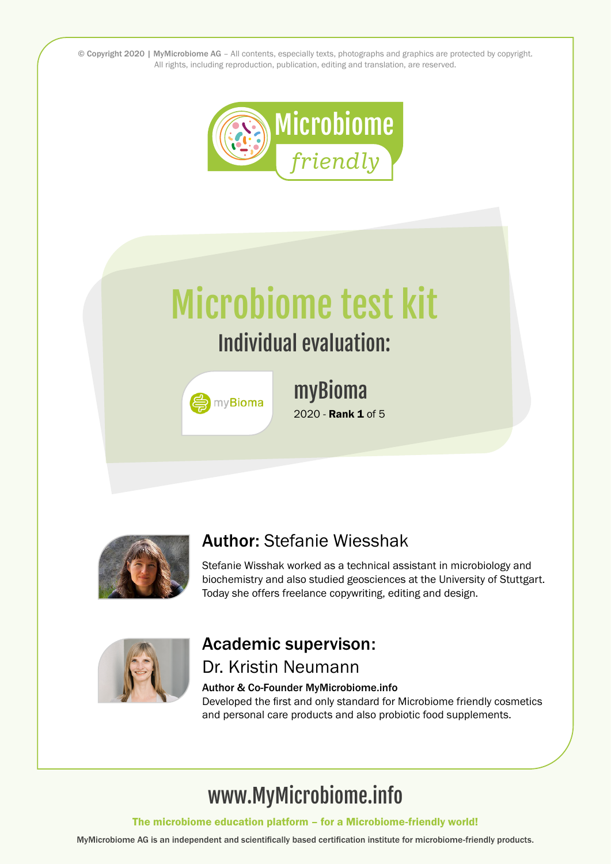© Copyright 2020 | MyMicrobiome AG – All contents, especially texts, photographs and graphics are protected by copyright. All rights, including reproduction, publication, editing and translation, are reserved.



# Microbiome test kit

### Individual evaluation:



# myBioma

2020 - **Rank 1** of 5



#### Author: Stefanie Wiesshak

Stefanie Wisshak worked as a technical assistant in microbiology and biochemistry and also studied geosciences at the University of Stuttgart. Today she offers freelance copywriting, editing and design.



#### Academic supervison: Dr. Kristin Neumann

#### Author & Co-Founder MyMicrobiome.info

Developed the first and only standard for Microbiome friendly cosmetics and personal care products and also probiotic food supplements.

# www.MyMicrobiome.info

The microbiome education platform – for a Microbiome-friendly world!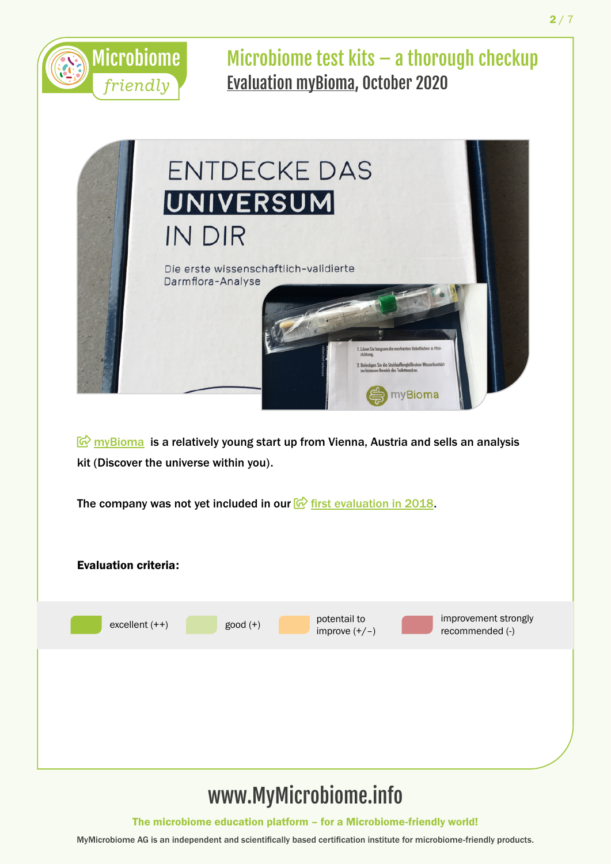

Microbiome test kits  $-$  a thorough checkup Evaluation myBioma, October 2020



 $\mathbb{F}$  [myBioma](http://www.fao.org/home/en/) is a relatively young start up from Vienna, Austria and sells an analysis kit (Discover the universe within you).

The company was not yet included in our  $\sqrt{G}$  [first evaluation in 2018.](https://www.mymicrobiome.info/microbiome-test-kits.html)



## www.MyMicrobiome.info

The microbiome education platform – for a Microbiome-friendly world!

 $2/7$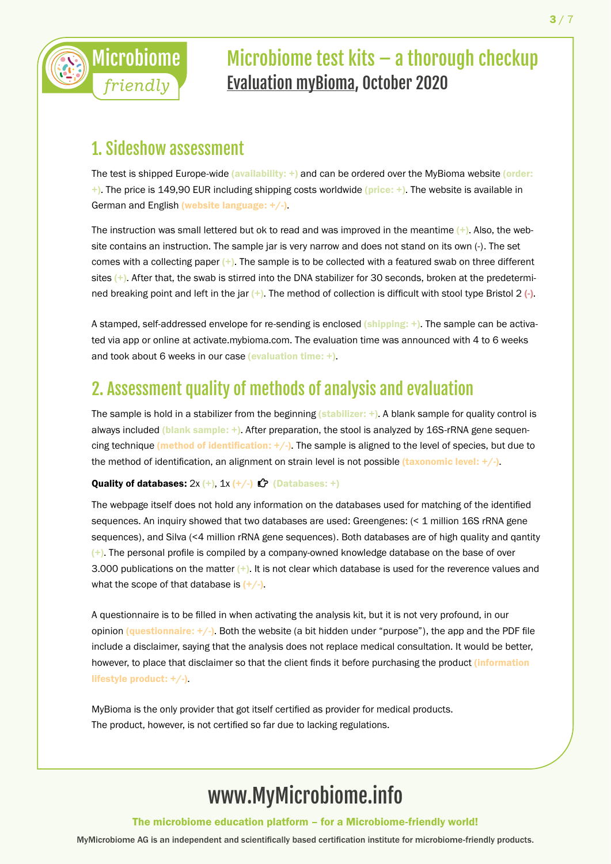

#### Microbiome test kits  $-$  a thorough checkup Evaluation myBioma, October 2020

#### 1. Sideshow assessment

The test is shipped Europe-wide (availability:  $+$ ) and can be ordered over the MyBioma website (order:  $+$ ). The price is 149,90 EUR including shipping costs worldwide (price:  $+$ ). The website is available in German and English (website language: +/-).

The instruction was small lettered but ok to read and was improved in the meantime  $(+)$ . Also, the website contains an instruction. The sample jar is very narrow and does not stand on its own (-). The set comes with a collecting paper  $(+)$ . The sample is to be collected with a featured swab on three different sites (+). After that, the swab is stirred into the DNA stabilizer for 30 seconds, broken at the predetermined breaking point and left in the jar (+). The method of collection is difficult with stool type Bristol 2 (-).

A stamped, self-addressed envelope for re-sending is enclosed (shipping: +). The sample can be activated via app or online at activate.mybioma.com. The evaluation time was announced with 4 to 6 weeks and took about 6 weeks in our case (evaluation time: +).

#### 2. Assessment quality of methods of analysis and evaluation

The sample is hold in a stabilizer from the beginning (stabilizer: +). A blank sample for quality control is always included (blank sample: +). After preparation, the stool is analyzed by 16S-rRNA gene sequencing technique (method of identification:  $+/-$ ). The sample is aligned to the level of species, but due to the method of identification, an alignment on strain level is not possible *(taxonomic level: +/-)*.

#### Quality of databases:  $2x (+)$ ,  $1x (+/-)$   $\hat{G}$  (Databases: +)

The webpage itself does not hold any information on the databases used for matching of the identified sequences. An inquiry showed that two databases are used: Greengenes: (< 1 million 16S rRNA gene sequences), and Silva (<4 million rRNA gene sequences). Both databases are of high quality and qantity (+). The personal profile is compiled by a company-owned knowledge database on the base of over 3.000 publications on the matter  $(+)$ . It is not clear which database is used for the reverence values and what the scope of that database is  $(+/-)$ .

A questionnaire is to be filled in when activating the analysis kit, but it is not very profound, in our opinion (questionnaire:  $+/-$ ). Both the website (a bit hidden under "purpose"), the app and the PDF file include a disclaimer, saying that the analysis does not replace medical consultation. It would be better, however, to place that disclaimer so that the client finds it before purchasing the product *(information*) lifestyle product: +/-).

MyBioma is the only provider that got itself certified as provider for medical products. The product, however, is not certified so far due to lacking regulations.

### www.MyMicrobiome.info

The microbiome education platform – for a Microbiome-friendly world!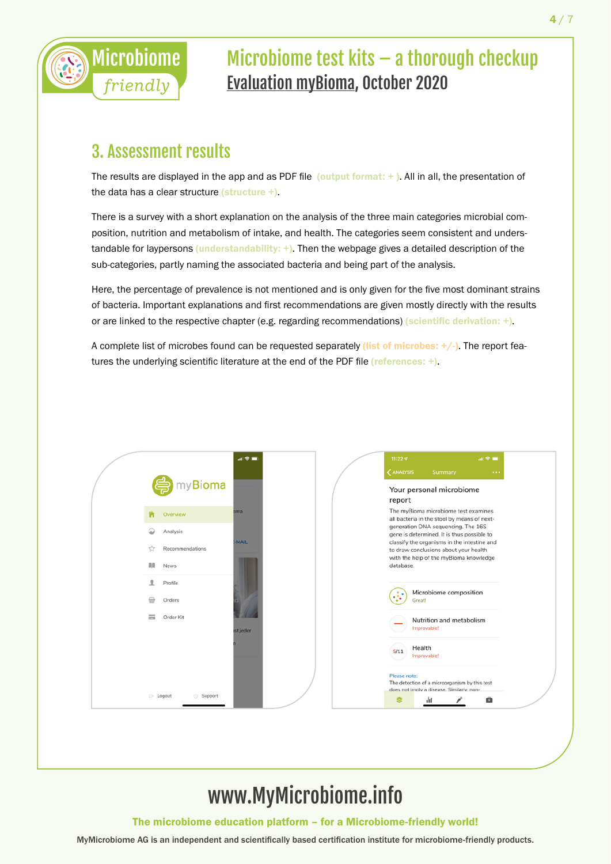

### Microbiome test kits – a thorough checkup Evaluation myBioma, October 2020

#### 3. Assessment results

The results are displayed in the app and as PDF file (output format:  $+$  ). All in all, the presentation of the data has a clear structure (structure +).

There is a survey with a short explanation on the analysis of the three main categories microbial composition, nutrition and metabolism of intake, and health. The categories seem consistent and understandable for laypersons (understandability: +). Then the webpage gives a detailed description of the sub-categories, partly naming the associated bacteria and being part of the analysis.

Here, the percentage of prevalence is not mentioned and is only given for the five most dominant strains of bacteria. Important explanations and first recommendations are given mostly directly with the results or are linked to the respective chapter (e.g. regarding recommendations) (scientific derivation: +).

A complete list of microbes found can be requested separately (list of microbes:  $+/-$ ). The report features the underlying scientific literature at the end of the PDF file (references: +).



### www.MyMicrobiome.info

The microbiome education platform – for a Microbiome-friendly world!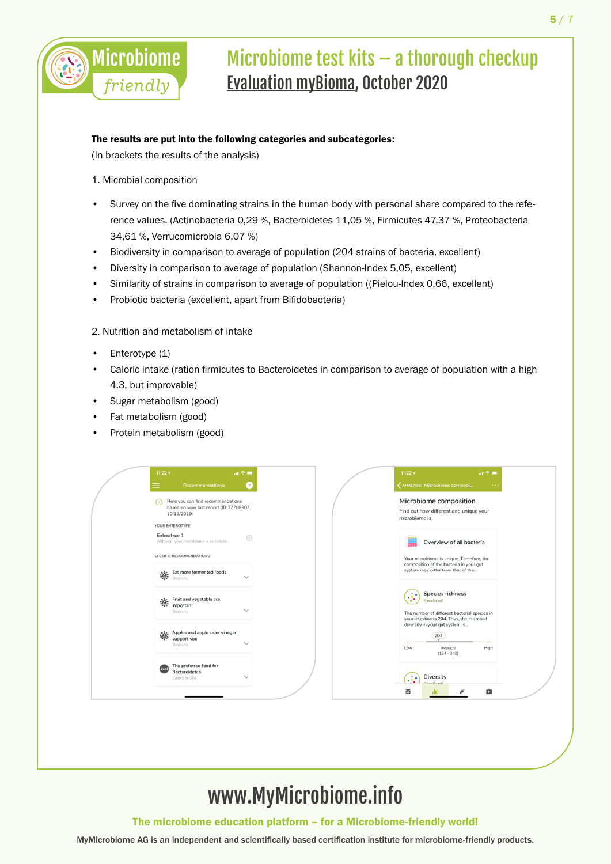

#### The results are put into the following categories and subcategories:

(In brackets the results of the analysis)

1. Microbial composition

Microbiome

*friendly*

- Survey on the five dominating strains in the human body with personal share compared to the reference values. (Actinobacteria 0,29 %, Bacteroidetes 11,05 %, Firmicutes 47,37 %, Proteobacteria 34,61 %, Verrucomicrobia 6,07 %)
- Biodiversity in comparison to average of population (204 strains of bacteria, excellent)
- Diversity in comparison to average of population (Shannon-Index 5,05, excellent)
- Similarity of strains in comparison to average of population ((Pielou-Index 0,66, excellent)
- Probiotic bacteria (excellent, apart from Bifidobacteria)
- 2. Nutrition and metabolism of intake
- Enterotype (1)
- Caloric intake (ration firmicutes to Bacteroidetes in comparison to average of population with a high 4.3, but improvable)
- Sugar metabolism (good)
- Fat metabolism (good)
- Protein metabolism (good)

| $11:22 - 7$                                                                                        | $\mathbf{m} \otimes \mathbf{m}$ |                 | $11:22 - 7$<br>$\mathbf{m} \otimes \mathbf{m}$                                                         |
|----------------------------------------------------------------------------------------------------|---------------------------------|-----------------|--------------------------------------------------------------------------------------------------------|
| <b>Recommendations</b>                                                                             | - 13                            |                 | ANALYSIS Microbiome composi<br>$\cdots$                                                                |
| Here you can find recommendations<br>G 1<br>based on your last report (ID 37788907,<br>10/13/2019) |                                 |                 | Microbiome composition<br>Find out how different and unique your<br>microbiome is.                     |
| YOUR ENTEROTYPE                                                                                    |                                 |                 |                                                                                                        |
| Enterotype 1<br>Although your microbiome is as individ                                             | $\circledcirc$                  |                 | Overview of all bacteria                                                                               |
| SPECIFIC RECOMMENDATIONS                                                                           |                                 |                 | Your microbiome is unique. Therefore, the<br>composition of the bacteria in your gut                   |
| ate Eat more fermented foods<br>2005 Diversity                                                     | $\checkmark$                    |                 | system may differ from that of the                                                                     |
| ९१० Fruit and vegetable are<br>व्हरू<br>अर्थ important<br>important<br>Diversity                   | $\checkmark$                    |                 | Species richness<br>$\rightarrow$<br><b>Excellent!</b><br>The number of different bacterial species in |
|                                                                                                    |                                 |                 | your intestine is 204. Thus, the microbial<br>diversity in your gut system is                          |
| Apples and apple cider vinegar<br>※<br>support you<br>Diversity                                    | 204<br>-<br>$\checkmark$<br>Low | High<br>Average |                                                                                                        |
| The preferred food for<br>keal<br><b>Bacteroidetes</b>                                             |                                 |                 | $(154 - 340)$                                                                                          |
| Caloric intake                                                                                     | $\checkmark$                    |                 | Diversity<br>$\mathcal{L}(\mathcal{C})$<br>لفحدا الممر                                                 |
|                                                                                                    |                                 |                 | ₹<br>ô                                                                                                 |
|                                                                                                    |                                 |                 |                                                                                                        |

### www.MyMicrobiome.info

The microbiome education platform – for a Microbiome-friendly world!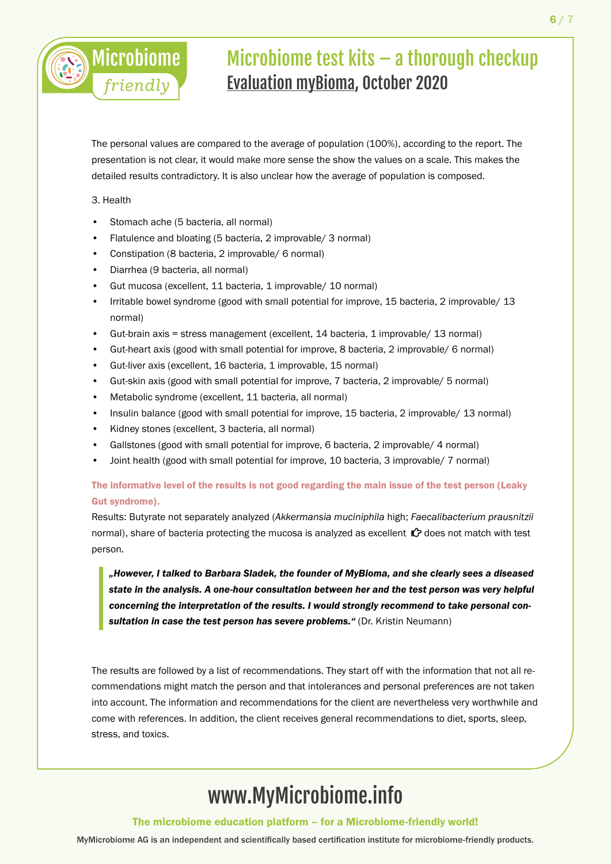

The personal values are compared to the average of population (100%), according to the report. The presentation is not clear, it would make more sense the show the values on a scale. This makes the detailed results contradictory. It is also unclear how the average of population is composed.

#### 3. Health

Microbiome

*friendly*

- Stomach ache (5 bacteria, all normal)
- Flatulence and bloating (5 bacteria, 2 improvable/ 3 normal)
- Constipation (8 bacteria, 2 improvable/ 6 normal)
- Diarrhea (9 bacteria, all normal)
- Gut mucosa (excellent, 11 bacteria, 1 improvable/ 10 normal)
- Irritable bowel syndrome (good with small potential for improve, 15 bacteria, 2 improvable/ 13 normal)
- Gut-brain axis = stress management (excellent, 14 bacteria, 1 improvable/ 13 normal)
- Gut-heart axis (good with small potential for improve, 8 bacteria, 2 improvable/ 6 normal)
- Gut-liver axis (excellent, 16 bacteria, 1 improvable, 15 normal)
- Gut-skin axis (good with small potential for improve, 7 bacteria, 2 improvable/ 5 normal)
- Metabolic syndrome (excellent, 11 bacteria, all normal)
- Insulin balance (good with small potential for improve, 15 bacteria, 2 improvable/ 13 normal)
- Kidney stones (excellent, 3 bacteria, all normal)
- Gallstones (good with small potential for improve, 6 bacteria, 2 improvable/ 4 normal)
- Joint health (good with small potential for improve, 10 bacteria, 3 improvable/ 7 normal)

#### The informative level of the results is not good regarding the main issue of the test person (Leaky Gut syndrome).

Results: Butyrate not separately analyzed (*Akkermansia muciniphila* high; *Faecalibacterium prausnitzii* normal), share of bacteria protecting the mucosa is analyzed as excellent  $\hat{L}$  does not match with test person.

*"However, I talked to Barbara Sladek, the founder of MyBioma, and she clearly sees a diseased state in the analysis. A one-hour consultation between her and the test person was very helpful concerning the interpretation of the results. I would strongly recommend to take personal consultation in case the test person has severe problems."* (Dr. Kristin Neumann)

The results are followed by a list of recommendations. They start off with the information that not all recommendations might match the person and that intolerances and personal preferences are not taken into account. The information and recommendations for the client are nevertheless very worthwhile and come with references. In addition, the client receives general recommendations to diet, sports, sleep, stress, and toxics.

### www.MyMicrobiome.info

The microbiome education platform – for a Microbiome-friendly world!